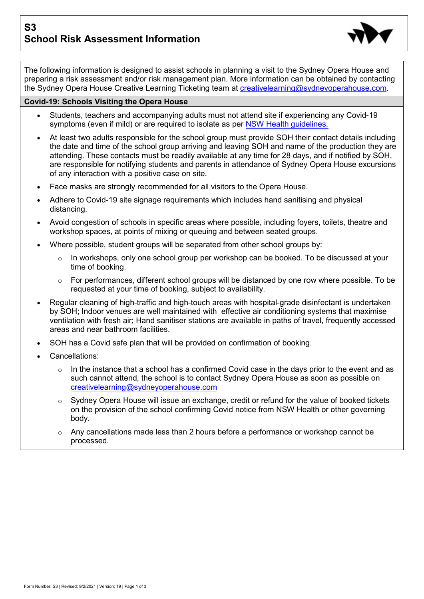**S3 School Risk Assessment Information**



The following information is designed to assist schools in planning a visit to the Sydney Opera House and preparing a risk assessment and/or risk management plan. More information can be obtained by contacting the Sydney Opera House Creative Learning Ticketing team at [creativelearning@sydneyoperahouse.com.](mailto:creativelearning@sydneyoperahouse.com)

## **Covid-19: Schools Visiting the Opera House**

- Students, teachers and accompanying adults must not attend site if experiencing any Covid-19 symptoms (even if mild) or are required to isolate as per [NSW Health guidelines.](https://www.nsw.gov.au/covid-19/management/self-isolation-covid-and-close)
- At least two adults responsible for the school group must provide SOH their contact details including the date and time of the school group arriving and leaving SOH and name of the production they are attending. These contacts must be readily available at any time for 28 days, and if notified by SOH, are responsible for notifying students and parents in attendance of Sydney Opera House excursions of any interaction with a positive case on site.
- Face masks are strongly recommended for all visitors to the Opera House.
- Adhere to Covid-19 site signage requirements which includes hand sanitising and physical distancing.
- Avoid congestion of schools in specific areas where possible, including foyers, toilets, theatre and workshop spaces, at points of mixing or queuing and between seated groups.
- Where possible, student groups will be separated from other school groups by:
	- $\circ$  In workshops, only one school group per workshop can be booked. To be discussed at your time of booking.
	- $\circ$  For performances, different school groups will be distanced by one row where possible. To be requested at your time of booking, subject to availability.
- Regular cleaning of high-traffic and high-touch areas with hospital-grade disinfectant is undertaken by SOH; Indoor venues are well maintained with effective air conditioning systems that maximise ventilation with fresh air; Hand sanitiser stations are available in paths of travel, frequently accessed areas and near bathroom facilities.
- SOH has a Covid safe plan that will be provided on confirmation of booking.
- Cancellations:
	- $\circ$  In the instance that a school has a confirmed Covid case in the days prior to the event and as such cannot attend, the school is to contact Sydney Opera House as soon as possible on [creativelearning@sydneyoperahouse.com](mailto:creativelearning@sydneyoperahouse.com)
	- o Sydney Opera House will issue an exchange, credit or refund for the value of booked tickets on the provision of the school confirming Covid notice from NSW Health or other governing body.
	- $\circ$  Any cancellations made less than 2 hours before a performance or workshop cannot be processed.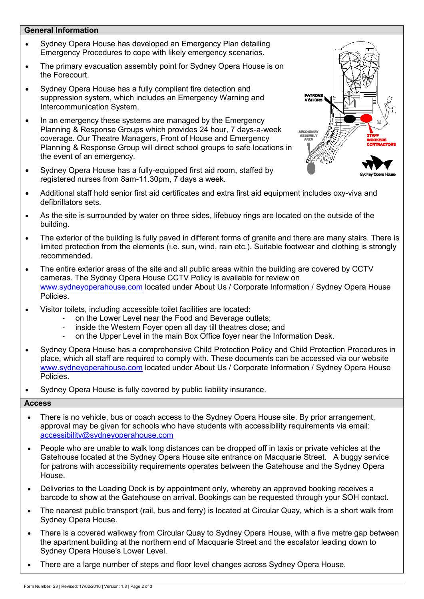## **General Information**

- Sydney Opera House has developed an Emergency Plan detailing Emergency Procedures to cope with likely emergency scenarios.
- The primary evacuation assembly point for Sydney Opera House is on the Forecourt.
- Sydney Opera House has a fully compliant fire detection and suppression system, which includes an Emergency Warning and Intercommunication System.
- In an emergency these systems are managed by the Emergency Planning & Response Groups which provides 24 hour, 7 days-a-week coverage. Our Theatre Managers, Front of House and Emergency Planning & Response Group will direct school groups to safe locations in the event of an emergency.
- Sydney Opera House has a fully-equipped first aid room, staffed by registered nurses from 8am-11.30pm, 7 days a week.



- Additional staff hold senior first aid certificates and extra first aid equipment includes oxy-viva and defibrillators sets.
- As the site is surrounded by water on three sides, lifebuoy rings are located on the outside of the building.
- The exterior of the building is fully paved in different forms of granite and there are many stairs. There is limited protection from the elements (i.e. sun, wind, rain etc.). Suitable footwear and clothing is strongly recommended.
- The entire exterior areas of the site and all public areas within the building are covered by CCTV cameras. The Sydney Opera House CCTV Policy is available for review on [www.sydneyoperahouse.com](http://www.sydneyoperahouse.com/) located under About Us / Corporate Information / Sydney Opera House Policies.
- Visitor toilets, including accessible toilet facilities are located:
	- on the Lower Level near the Food and Beverage outlets;
	- inside the Western Fover open all day till theatres close; and
	- on the Upper Level in the main Box Office foyer near the Information Desk.
- Sydney Opera House has a comprehensive Child Protection Policy and Child Protection Procedures in place, which all staff are required to comply with. These documents can be accessed via our website [www.sydneyoperahouse.com](http://www.sydneyoperahouse.com/) located under About Us / Corporate Information / Sydney Opera House Policies.
- Sydney Opera House is fully covered by public liability insurance.

## **Access**

- There is no vehicle, bus or coach access to the Sydney Opera House site. By prior arrangement, approval may be given for schools who have students with accessibility requirements via email: [accessibility@sydneyoperahouse.com](mailto:accessibility@sydneyoperahouse.com)
- People who are unable to walk long distances can be dropped off in taxis or private vehicles at the Gatehouse located at the Sydney Opera House site entrance on Macquarie Street. A buggy service for patrons with accessibility requirements operates between the Gatehouse and the Sydney Opera House.
- Deliveries to the Loading Dock is by appointment only, whereby an approved booking receives a barcode to show at the Gatehouse on arrival. Bookings can be requested through your SOH contact.
- The nearest public transport (rail, bus and ferry) is located at Circular Quay, which is a short walk from Sydney Opera House.
- There is a covered walkway from Circular Quay to Sydney Opera House, with a five metre gap between the apartment building at the northern end of Macquarie Street and the escalator leading down to Sydney Opera House's Lower Level.
- There are a large number of steps and floor level changes across Sydney Opera House.